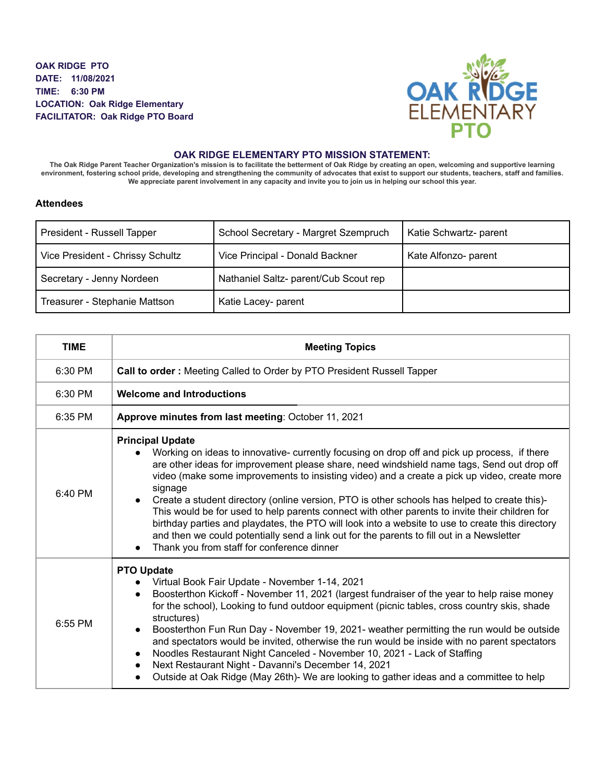**OAK RIDGE PTO DATE: 11/08/2021 TIME: 6:30 PM LOCATION: Oak Ridge Elementary FACILITATOR: Oak Ridge PTO Board**



## **OAK RIDGE ELEMENTARY PTO MISSION STATEMENT:**

The Oak Ridge Parent Teacher Organization's mission is to facilitate the betterment of Oak Ridge by creating an open, welcoming and supportive learning environment, fostering school pride, developing and strengthening the community of advocates that exist to support our students, teachers, staff and families. We appreciate parent involvement in any capacity and invite you to join us in helping our school this year.

## **Attendees**

| President - Russell Tapper       | School Secretary - Margret Szempruch  | Katie Schwartz- parent |
|----------------------------------|---------------------------------------|------------------------|
| Vice President - Chrissy Schultz | Vice Principal - Donald Backner       | Kate Alfonzo- parent   |
| Secretary - Jenny Nordeen        | Nathaniel Saltz- parent/Cub Scout rep |                        |
| Treasurer - Stephanie Mattson    | Katie Lacey- parent                   |                        |

| <b>TIME</b> | <b>Meeting Topics</b>                                                                                                                                                                                                                                                                                                                                                                                                                                                                                                                                                                                                                                                                                                                                                            |
|-------------|----------------------------------------------------------------------------------------------------------------------------------------------------------------------------------------------------------------------------------------------------------------------------------------------------------------------------------------------------------------------------------------------------------------------------------------------------------------------------------------------------------------------------------------------------------------------------------------------------------------------------------------------------------------------------------------------------------------------------------------------------------------------------------|
| 6:30 PM     | Call to order: Meeting Called to Order by PTO President Russell Tapper                                                                                                                                                                                                                                                                                                                                                                                                                                                                                                                                                                                                                                                                                                           |
| 6:30 PM     | <b>Welcome and Introductions</b>                                                                                                                                                                                                                                                                                                                                                                                                                                                                                                                                                                                                                                                                                                                                                 |
| 6:35 PM     | Approve minutes from last meeting: October 11, 2021                                                                                                                                                                                                                                                                                                                                                                                                                                                                                                                                                                                                                                                                                                                              |
| 6:40 PM     | <b>Principal Update</b><br>Working on ideas to innovative- currently focusing on drop off and pick up process, if there<br>are other ideas for improvement please share, need windshield name tags, Send out drop off<br>video (make some improvements to insisting video) and a create a pick up video, create more<br>signage<br>Create a student directory (online version, PTO is other schools has helped to create this)-<br>This would be for used to help parents connect with other parents to invite their children for<br>birthday parties and playdates, the PTO will look into a website to use to create this directory<br>and then we could potentially send a link out for the parents to fill out in a Newsletter<br>Thank you from staff for conference dinner |
| 6:55 PM     | <b>PTO Update</b><br>Virtual Book Fair Update - November 1-14, 2021<br>Boosterthon Kickoff - November 11, 2021 (largest fundraiser of the year to help raise money<br>$\bullet$<br>for the school), Looking to fund outdoor equipment (picnic tables, cross country skis, shade<br>structures)<br>Boosterthon Fun Run Day - November 19, 2021- weather permitting the run would be outside<br>$\bullet$<br>and spectators would be invited, otherwise the run would be inside with no parent spectators<br>Noodles Restaurant Night Canceled - November 10, 2021 - Lack of Staffing<br>$\bullet$<br>Next Restaurant Night - Davanni's December 14, 2021<br>$\bullet$<br>Outside at Oak Ridge (May 26th)- We are looking to gather ideas and a committee to help<br>$\bullet$     |